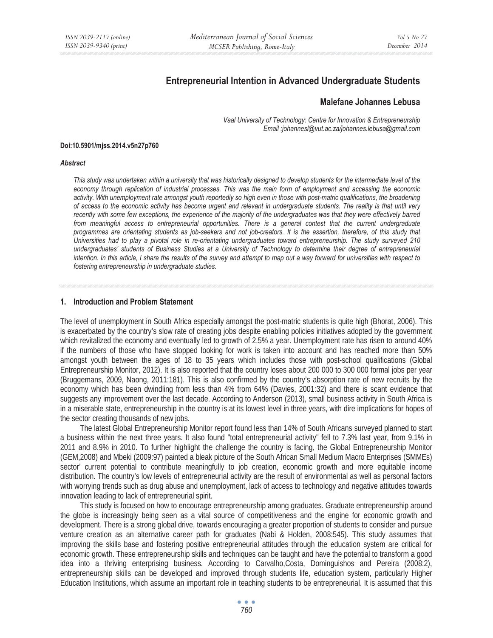# **Entrepreneurial Intention in Advanced Undergraduate Students**

### **Malefane Johannes Lebusa**

*Vaal University of Technology: Centre for Innovation & Entrepreneurship Email :johannesl@vut.ac.za/johannes.lebusa@gmail.com* 

#### **Doi:10.5901/mjss.2014.v5n27p760**

#### *Abstract*

*This study was undertaken within a university that was historically designed to develop students for the intermediate level of the economy through replication of industrial processes. This was the main form of employment and accessing the economic activity. With unemployment rate amongst youth reportedly so high even in those with post-matric qualifications, the broadening of access to the economic activity has become urgent and relevant in undergraduate students. The reality is that until very*  recently with some few exceptions, the experience of the majority of the undergraduates was that they were effectively barred *from meaningful access to entrepreneurial opportunities. There is a general contest that the current undergraduate programmes are orientating students as job-seekers and not job-creators. It is the assertion, therefore, of this study that Universities had to play a pivotal role in re-orientating undergraduates toward entrepreneurship. The study surveyed 210 undergraduates' students of Business Studies at a University of Technology to determine their degree of entrepreneurial intention. In this article, I share the results of the survey and attempt to map out a way forward for universities with respect to fostering entrepreneurship in undergraduate studies.* 

#### **1. Introduction and Problem Statement**

The level of unemployment in South Africa especially amongst the post-matric students is quite high (Bhorat, 2006). This is exacerbated by the country's slow rate of creating jobs despite enabling policies initiatives adopted by the government which revitalized the economy and eventually led to growth of 2.5% a year. Unemployment rate has risen to around 40% if the numbers of those who have stopped looking for work is taken into account and has reached more than 50% amongst youth between the ages of 18 to 35 years which includes those with post-school qualifications (Global Entrepreneurship Monitor, 2012). It is also reported that the country loses about 200 000 to 300 000 formal jobs per year (Bruggemans, 2009, Naong, 2011:181). This is also confirmed by the country's absorption rate of new recruits by the economy which has been dwindling from less than 4% from 64% (Davies, 2001:32) and there is scant evidence that suggests any improvement over the last decade. According to Anderson (2013), small business activity in South Africa is in a miserable state, entrepreneurship in the country is at its lowest level in three years, with dire implications for hopes of the sector creating thousands of new jobs.

The latest Global Entrepreneurship Monitor report found less than 14% of South Africans surveyed planned to start a business within the next three years. It also found "total entrepreneurial activity" fell to 7.3% last year, from 9.1% in 2011 and 8.9% in 2010. To further highlight the challenge the country is facing, the Global Entrepreneurship Monitor (GEM,2008) and Mbeki (2009:97) painted a bleak picture of the South African Small Medium Macro Enterprises (SMMEs) sector' current potential to contribute meaningfully to job creation, economic growth and more equitable income distribution. The country's low levels of entrepreneurial activity are the result of environmental as well as personal factors with worrying trends such as drug abuse and unemployment, lack of access to technology and negative attitudes towards innovation leading to lack of entrepreneurial spirit.

This study is focused on how to encourage entrepreneurship among graduates. Graduate entrepreneurship around the globe is increasingly being seen as a vital source of competitiveness and the engine for economic growth and development. There is a strong global drive, towards encouraging a greater proportion of students to consider and pursue venture creation as an alternative career path for graduates (Nabi & Holden, 2008:545). This study assumes that improving the skills base and fostering positive entrepreneurial attitudes through the education system are critical for economic growth. These entrepreneurship skills and techniques can be taught and have the potential to transform a good idea into a thriving enterprising business. According to Carvalho,Costa, Dominguishos and Pereira (2008:2), entrepreneurship skills can be developed and improved through students life, education system, particularly Higher Education Institutions, which assume an important role in teaching students to be entrepreneurial. It is assumed that this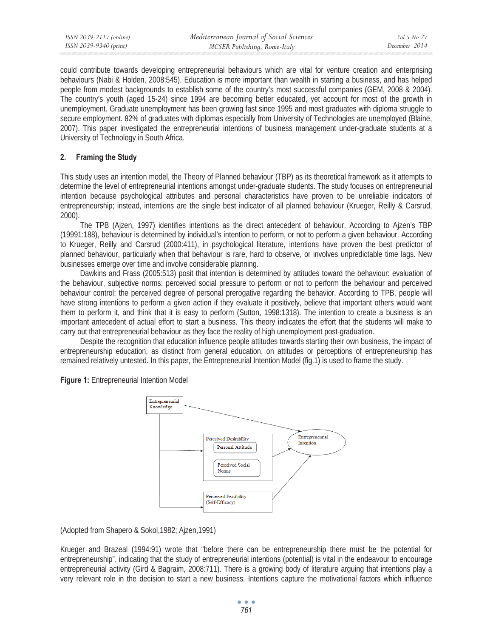could contribute towards developing entrepreneurial behaviours which are vital for venture creation and enterprising behaviours (Nabi & Holden, 2008:545). Education is more important than wealth in starting a business, and has helped people from modest backgrounds to establish some of the country's most successful companies (GEM, 2008 & 2004). The country's youth (aged 15-24) since 1994 are becoming better educated, yet account for most of the growth in unemployment. Graduate unemployment has been growing fast since 1995 and most graduates with diploma struggle to secure employment. 82% of graduates with diplomas especially from University of Technologies are unemployed (Blaine, 2007). This paper investigated the entrepreneurial intentions of business management under-graduate students at a University of Technology in South Africa.

### **2. Framing the Study**

This study uses an intention model, the Theory of Planned behaviour (TBP) as its theoretical framework as it attempts to determine the level of entrepreneurial intentions amongst under-graduate students. The study focuses on entrepreneurial intention because psychological attributes and personal characteristics have proven to be unreliable indicators of entrepreneurship; instead, intentions are the single best indicator of all planned behaviour (Krueger, Reilly & Carsrud, 2000).

The TPB (Ajzen, 1997) identifies intentions as the direct antecedent of behaviour. According to Ajzen's TBP (19991:188), behaviour is determined by individual's intention to perform, or not to perform a given behaviour. According to Krueger, Reilly and Carsrud (2000:411), in psychological literature, intentions have proven the best predictor of planned behaviour, particularly when that behaviour is rare, hard to observe, or involves unpredictable time lags. New businesses emerge over time and involve considerable planning.

Dawkins and Frass (2005:513) posit that intention is determined by attitudes toward the behaviour: evaluation of the behaviour, subjective norms: perceived social pressure to perform or not to perform the behaviour and perceived behaviour control: the perceived degree of personal prerogative regarding the behavior. According to TPB, people will have strong intentions to perform a given action if they evaluate it positively, believe that important others would want them to perform it, and think that it is easy to perform (Sutton, 1998:1318). The intention to create a business is an important antecedent of actual effort to start a business. This theory indicates the effort that the students will make to carry out that entrepreneurial behaviour as they face the reality of high unemployment post-graduation.

Despite the recognition that education influence people attitudes towards starting their own business, the impact of entrepreneurship education, as distinct from general education, on attitudes or perceptions of entrepreneurship has remained relatively untested. In this paper, the Entrepreneurial Intention Model (fig.1) is used to frame the study.

**Figure 1:** Entrepreneurial Intention Model



(Adopted from Shapero & Sokol,1982; Ajzen,1991)

Krueger and Brazeal (1994:91) wrote that "before there can be entrepreneurship there must be the potential for entrepreneurship", indicating that the study of entrepreneurial intentions (potential) is vital in the endeavour to encourage entrepreneurial activity (Gird & Bagraim, 2008:711). There is a growing body of literature arguing that intentions play a very relevant role in the decision to start a new business. Intentions capture the motivational factors which influence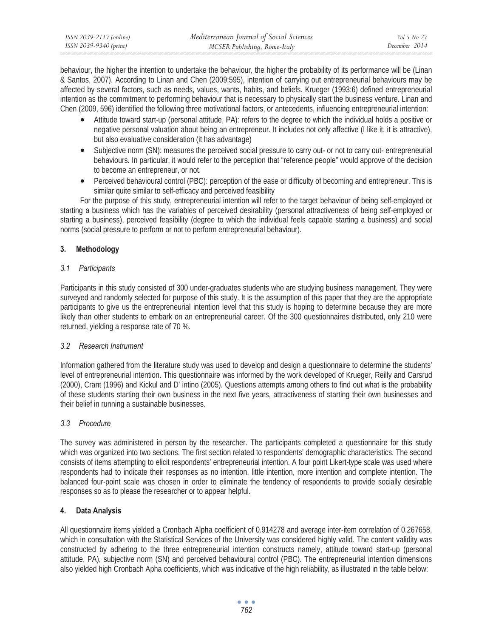| ISSN 2039-2117 (online) | Mediterranean Journal of Social Sciences | Vol 5 No 27   |
|-------------------------|------------------------------------------|---------------|
| ISSN 2039-9340 (print)  | MCSER Publishing, Rome-Italy             | December 2014 |

behaviour, the higher the intention to undertake the behaviour, the higher the probability of its performance will be (Linan & Santos, 2007). According to Linan and Chen (2009:595), intention of carrying out entrepreneurial behaviours may be affected by several factors, such as needs, values, wants, habits, and beliefs. Krueger (1993:6) defined entrepreneurial intention as the commitment to performing behaviour that is necessary to physically start the business venture. Linan and Chen (2009, 596) identified the following three motivational factors, or antecedents, influencing entrepreneurial intention:

- Attitude toward start-up (personal attitude, PA): refers to the degree to which the individual holds a positive or negative personal valuation about being an entrepreneur. It includes not only affective (I like it, it is attractive), but also evaluative consideration (it has advantage)
- Subjective norm (SN): measures the perceived social pressure to carry out- or not to carry out- entrepreneurial behaviours. In particular, it would refer to the perception that "reference people" would approve of the decision to become an entrepreneur, or not.
- Perceived behavioural control (PBC): perception of the ease or difficulty of becoming and entrepreneur. This is similar quite similar to self-efficacy and perceived feasibility

For the purpose of this study, entrepreneurial intention will refer to the target behaviour of being self-employed or starting a business which has the variables of perceived desirability (personal attractiveness of being self-employed or starting a business), perceived feasibility (degree to which the individual feels capable starting a business) and social norms (social pressure to perform or not to perform entrepreneurial behaviour).

## **3. Methodology**

## *3.1 Participants*

Participants in this study consisted of 300 under-graduates students who are studying business management. They were surveyed and randomly selected for purpose of this study. It is the assumption of this paper that they are the appropriate participants to give us the entrepreneurial intention level that this study is hoping to determine because they are more likely than other students to embark on an entrepreneurial career. Of the 300 questionnaires distributed, only 210 were returned, yielding a response rate of 70 %.

## *3.2 Research Instrument*

Information gathered from the literature study was used to develop and design a questionnaire to determine the students' level of entrepreneurial intention. This questionnaire was informed by the work developed of Krueger, Reilly and Carsrud (2000), Crant (1996) and Kickul and D' intino (2005). Questions attempts among others to find out what is the probability of these students starting their own business in the next five years, attractiveness of starting their own businesses and their belief in running a sustainable businesses.

# *3.3 Procedure*

The survey was administered in person by the researcher. The participants completed a questionnaire for this study which was organized into two sections. The first section related to respondents' demographic characteristics. The second consists of items attempting to elicit respondents' entrepreneurial intention. A four point Likert-type scale was used where respondents had to indicate their responses as no intention, little intention, more intention and complete intention. The balanced four-point scale was chosen in order to eliminate the tendency of respondents to provide socially desirable responses so as to please the researcher or to appear helpful.

# **4. Data Analysis**

All questionnaire items yielded a Cronbach Alpha coefficient of 0.914278 and average inter-item correlation of 0.267658, which in consultation with the Statistical Services of the University was considered highly valid. The content validity was constructed by adhering to the three entrepreneurial intention constructs namely, attitude toward start-up (personal attitude, PA), subjective norm (SN) and perceived behavioural control (PBC). The entrepreneurial intention dimensions also yielded high Cronbach Apha coefficients, which was indicative of the high reliability, as illustrated in the table below: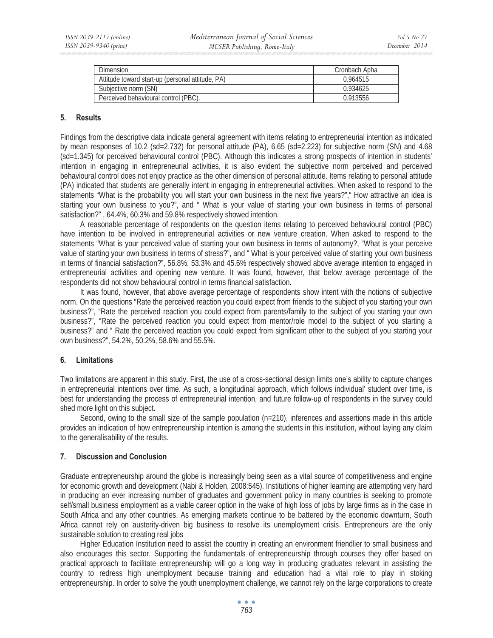| Dimension                                        | Cronbach Apha |
|--------------------------------------------------|---------------|
| Attitude toward start-up (personal attitude, PA) | 0.964515      |
| Subjective norm (SN)                             | 0.934625      |
| Perceived behavioural control (PBC).             | 0.913556      |

### **5. Results**

Findings from the descriptive data indicate general agreement with items relating to entrepreneurial intention as indicated by mean responses of 10.2 (sd=2.732) for personal attitude (PA), 6.65 (sd=2.223) for subjective norm (SN) and 4.68 (sd=1.345) for perceived behavioural control (PBC). Although this indicates a strong prospects of intention in students' intention in engaging in entrepreneurial activities, it is also evident the subjective norm perceived and perceived behavioural control does not enjoy practice as the other dimension of personal attitude. Items relating to personal attitude (PA) indicated that students are generally intent in engaging in entrepreneurial activities. When asked to respond to the statements "What is the probability you will start your own business in the next five years?"," How attractive an idea is starting your own business to you?", and " What is your value of starting your own business in terms of personal satisfaction?" , 64.4%, 60.3% and 59.8% respectively showed intention.

A reasonable percentage of respondents on the question items relating to perceived behavioural control (PBC) have intention to be involved in entrepreneurial activities or new venture creation. When asked to respond to the statements "What is your perceived value of starting your own business in terms of autonomy?, "What is your perceive value of starting your own business in terms of stress?", and " What is your perceived value of starting your own business in terms of financial satisfaction?", 56.8%, 53.3% and 45.6% respectively showed above average intention to engaged in entrepreneurial activities and opening new venture. It was found, however, that below average percentage of the respondents did not show behavioural control in terms financial satisfaction.

It was found, however, that above average percentage of respondents show intent with the notions of subjective norm. On the questions "Rate the perceived reaction you could expect from friends to the subject of you starting your own business?", "Rate the perceived reaction you could expect from parents/family to the subject of you starting your own business?", "Rate the perceived reaction you could expect from mentor/role model to the subject of you starting a business?" and " Rate the perceived reaction you could expect from significant other to the subject of you starting your own business?", 54.2%, 50.2%, 58.6% and 55.5%.

### **6. Limitations**

Two limitations are apparent in this study. First, the use of a cross-sectional design limits one's ability to capture changes in entrepreneurial intentions over time. As such, a longitudinal approach, which follows individual' student over time, is best for understanding the process of entrepreneurial intention, and future follow-up of respondents in the survey could shed more light on this subject.

Second, owing to the small size of the sample population (n=210), inferences and assertions made in this article provides an indication of how entrepreneurship intention is among the students in this institution, without laying any claim to the generalisability of the results.

### **7. Discussion and Conclusion**

Graduate entrepreneurship around the globe is increasingly being seen as a vital source of competitiveness and engine for economic growth and development (Nabi & Holden, 2008:545). Institutions of higher learning are attempting very hard in producing an ever increasing number of graduates and government policy in many countries is seeking to promote self/small business employment as a viable career option in the wake of high loss of jobs by large firms as in the case in South Africa and any other countries. As emerging markets continue to be battered by the economic downturn, South Africa cannot rely on austerity-driven big business to resolve its unemployment crisis. Entrepreneurs are the only sustainable solution to creating real jobs

Higher Education Institution need to assist the country in creating an environment friendlier to small business and also encourages this sector. Supporting the fundamentals of entrepreneurship through courses they offer based on practical approach to facilitate entrepreneurship will go a long way in producing graduates relevant in assisting the country to redress high unemployment because training and education had a vital role to play in stoking entrepreneurship. In order to solve the youth unemployment challenge, we cannot rely on the large corporations to create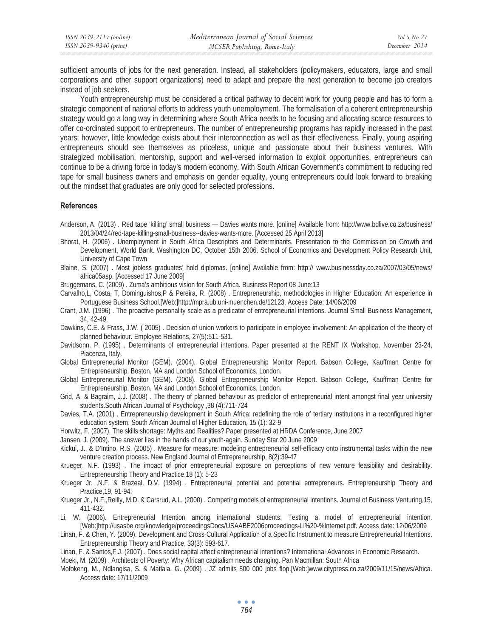sufficient amounts of jobs for the next generation. Instead, all stakeholders (policymakers, educators, large and small corporations and other support organizations) need to adapt and prepare the next generation to become job creators instead of job seekers.

Youth entrepreneurship must be considered a critical pathway to decent work for young people and has to form a strategic component of national efforts to address youth unemployment. The formalisation of a coherent entrepreneurship strategy would go a long way in determining where South Africa needs to be focusing and allocating scarce resources to offer co-ordinated support to entrepreneurs. The number of entrepreneurship programs has rapidly increased in the past years; however, little knowledge exists about their interconnection as well as their effectiveness. Finally, young aspiring entrepreneurs should see themselves as priceless, unique and passionate about their business ventures. With strategized mobilisation, mentorship, support and well-versed information to exploit opportunities, entrepreneurs can continue to be a driving force in today's modern economy. With South African Government's commitment to reducing red tape for small business owners and emphasis on gender equality, young entrepreneurs could look forward to breaking out the mindset that graduates are only good for selected professions.

#### **References**

- Anderson, A. (2013) . Red tape 'killing' small business Davies wants more. [online] Available from: http://www.bdlive.co.za/business/ 2013/04/24/red-tape-killing-small-business--davies-wants-more. [Accessed 25 April 2013]
- Bhorat, H. (2006) . Unemployment in South Africa Descriptors and Determinants. Presentation to the Commission on Growth and Development, World Bank. Washington DC, October 15th 2006. School of Economics and Development Policy Research Unit, University of Cape Town
- Blaine, S. (2007) . Most jobless graduates' hold diplomas. [online] Available from: http:// www.businessday.co.za/2007/03/05/news/ africa05asp. [Accessed 17 June 2009]
- Bruggemans, C. (2009) . Zuma's ambitious vision for South Africa. Business Report 08 June:13
- Carvalho,L, Costa, T, Dominguishos,P & Pereira, R. (2008) . Entrepreneurship, methodologies in Higher Education: An experience in Portuguese Business School.[Web:]http://mpra.ub.uni-muenchen.de/12123. Access Date: 14/06/2009
- Crant, J.M. (1996) . The proactive personality scale as a predicator of entrepreneurial intentions. Journal Small Business Management, 34, 42-49.
- Dawkins, C.E. & Frass, J.W. ( 2005) . Decision of union workers to participate in employee involvement: An application of the theory of planned behaviour. Employee Relations, 27(5):511-531.
- Davidsonn. P. (1995) . Determinants of entrepreneurial intentions. Paper presented at the RENT IX Workshop. November 23-24, Piacenza, Italy.
- Global Entrepreneurial Monitor (GEM). (2004). Global Entrepreneurship Monitor Report. Babson College, Kauffman Centre for Entrepreneurship. Boston, MA and London School of Economics, London.
- Global Entrepreneurial Monitor (GEM). (2008). Global Entrepreneurship Monitor Report. Babson College, Kauffman Centre for Entrepreneurship. Boston, MA and London School of Economics, London.
- Grid, A. & Bagraim, J.J. (2008) . The theory of planned behaviour as predictor of entrepreneurial intent amongst final year university students.South African Journal of Psychology ,38 (4):711-724
- Davies, T.A. (2001) . Entrepreneurship development in South Africa: redefining the role of tertiary institutions in a reconfigured higher education system. South African Journal of Higher Education, 15 (1): 32-9
- Horwitz, F. (2007). The skills shortage: Myths and Realities? Paper presented at HRDA Conference, June 2007
- Jansen, J. (2009). The answer lies in the hands of our youth-again. Sunday Star.20 June 2009
- Kickul, J., & D'Intino, R.S. (2005) . Measure for measure: modeling entrepreneurial self-efficacy onto instrumental tasks within the new venture creation process. New England Journal of Entrepreneurship, 8(2):39-47
- Krueger, N.F. (1993) . The impact of prior entrepreneurial exposure on perceptions of new venture feasibility and desirability. Entrepreneurship Theory and Practice,18 (1): 5-23
- Krueger Jr. ,N.F. & Brazeal, D.V. (1994) . Entrepreneurial potential and potential entrepreneurs. Entrepreneurship Theory and Practice,19, 91-94.
- Krueger Jr., N.F.,Reilly, M.D. & Carsrud, A.L. (2000) . Competing models of entrepreneurial intentions. Journal of Business Venturing,15, 411-432.
- Li, W. (2006). Entrepreneurial Intention among international students: Testing a model of entrepreneurial intention. [Web:]http://usasbe.org/knowledge/proceedingsDocs/USAABE2006proceedings-Li%20-%Internet.pdf. Access date: 12/06/2009
- Linan, F. & Chen, Y. (2009). Development and Cross-Cultural Application of a Specific Instrument to measure Entrepreneurial Intentions. Entrepreneurship Theory and Practice, 33(3): 593-617.
- Linan, F. & Santos,F.J. (2007) . Does social capital affect entrepreneurial intentions? International Advances in Economic Research.
- Mbeki, M. (2009) . Architects of Poverty: Why African capitalism needs changing. Pan Macmillan: South Africa
- Mofokeng, M., Ndlangisa, S. & Matlala, G. (2009) . JZ admits 500 000 jobs flop.[Web:]www.citypress.co.za/2009/11/15/news/Africa. Access date: 17/11/2009